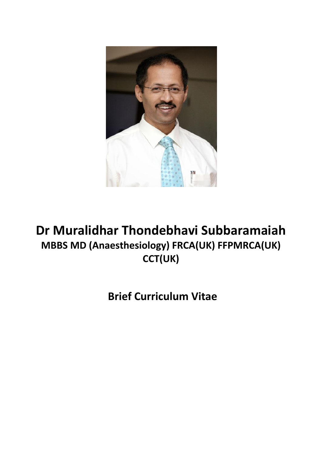

# **Dr Muralidhar Thondebhavi Subbaramaiah MBBS MD (Anaesthesiology) FRCA(UK) FFPMRCA(UK) CCT(UK)**

**Brief Curriculum Vitae**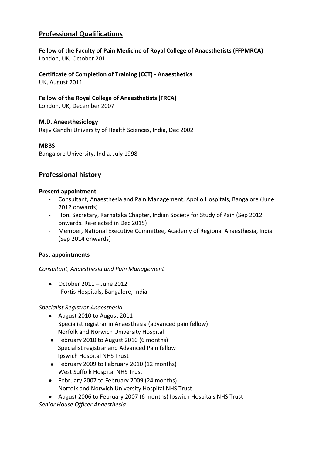# **Professional Qualifications**

**Fellow of the Faculty of Pain Medicine of Royal College of Anaesthetists (FFPMRCA)** London, UK, October 2011

**Certificate of Completion of Training (CCT) - Anaesthetics** UK, August 2011

**Fellow of the Royal College of Anaesthetists (FRCA)**  London, UK, December 2007

**M.D. Anaesthesiology** Rajiv Gandhi University of Health Sciences, India, Dec 2002

### **MBBS**

Bangalore University, India, July 1998

## **Professional history**

#### **Present appointment**

- Consultant, Anaesthesia and Pain Management, Apollo Hospitals, Bangalore (June 2012 onwards)
- Hon. Secretary, Karnataka Chapter, Indian Society for Study of Pain (Sep 2012 onwards. Re-elected in Dec 2015)
- Member, National Executive Committee, Academy of Regional Anaesthesia, India (Sep 2014 onwards)

#### **Past appointments**

*Consultant, Anaesthesia and Pain Management*

 $\bullet$  October 2011 – June 2012 Fortis Hospitals, Bangalore, India

#### *Specialist Registrar Anaesthesia*

- August 2010 to August 2011 Specialist registrar in Anaesthesia (advanced pain fellow) Norfolk and Norwich University Hospital
- February 2010 to August 2010 (6 months) Specialist registrar and Advanced Pain fellow Ipswich Hospital NHS Trust
- February 2009 to February 2010 (12 months) West Suffolk Hospital NHS Trust
- February 2007 to February 2009 (24 months) Norfolk and Norwich University Hospital NHS Trust
- August 2006 to February 2007 (6 months) Ipswich Hospitals NHS Trust

*Senior House Officer Anaesthesia*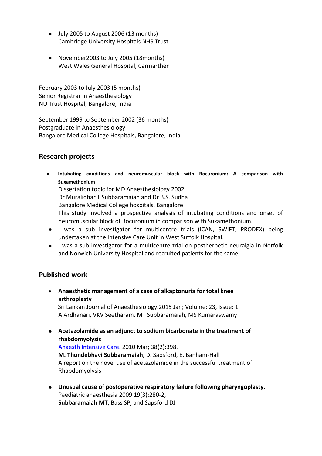- July 2005 to August 2006 (13 months) Cambridge University Hospitals NHS Trust
- November2003 to July 2005 (18months) West Wales General Hospital, Carmarthen

February 2003 to July 2003 (5 months) Senior Registrar in Anaesthesiology NU Trust Hospital, Bangalore, India

September 1999 to September 2002 (36 months) Postgraduate in Anaesthesiology Bangalore Medical College Hospitals, Bangalore, India

# **Research projects**

- **Intubating conditions and neuromuscular block with Rocuronium: A comparison with Suxamethonium** Dissertation topic for MD Anaesthesiology 2002 Dr Muralidhar T Subbaramaiah and Dr B.S. Sudha Bangalore Medical College hospitals, Bangalore This study involved a prospective analysis of intubating conditions and onset of neuromuscular block of Rocuronium in comparison with Suxamethonium.
- I was a sub investigator for multicentre trials (ICAN, SWIFT, PRODEX) being undertaken at the Intensive Care Unit in West Suffolk Hospital.
- I was a sub investigator for a multicentre trial on postherpetic neuralgia in Norfolk and Norwich University Hospital and recruited patients for the same.

## **Published work**

**Anaesthetic management of a case of alkaptonuria for total knee arthroplasty**

 Sri Lankan Journal of Anaesthesiology.2015 Jan; Volume: 23, Issue: 1 A Ardhanari, VKV Seetharam, MT Subbaramaiah, MS Kumaraswamy

**[Acetazolamide as an adjunct to sodium bicarbonate in the treatment of](http://www.aaic.net.au/Article.asp?D=20090903)  [rhabdomyolysis](http://www.aaic.net.au/Article.asp?D=20090903)**

[Anaesth Intensive Care.](javascript:AL_get(this,%20) 2010 Mar; 38(2):398. **M. Thondebhavi Subbaramaiah**, D. Sapsford, E. Banham-Hall A report on the novel use of acetazolamide in the successful treatment of Rhabdomyolysis

**Unusual cause of postoperative respiratory failure following pharyngoplasty.**  Paediatric anaesthesia 2009 19(3):280-2, **Subbaramaiah MT**, Bass SP, and Sapsford DJ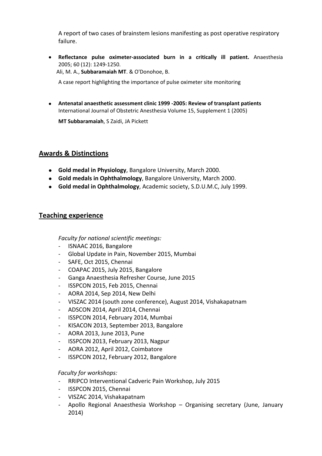A report of two cases of brainstem lesions manifesting as post operative respiratory failure.

**Reflectance pulse oximeter-associated burn in a critically ill patient.** Anaesthesia 2005; 60 (12): 1249-1250. Ali, M. A., **Subbaramaiah MT**. & O'Donohoe, B.

A case report highlighting the importance of pulse oximeter site monitoring

**Antenatal anaesthetic assessment clinic 1999 -2005: Review of transplant patients**  International Journal of Obstetric Anesthesia Volume 15, Supplement 1 (2005)

**MT Subbaramaiah**, S Zaidi, JA Pickett

## **Awards & Distinctions**

- **Gold medal in Physiology**, Bangalore University, March 2000.
- **Gold medals in Ophthalmology**, Bangalore University, March 2000.
- **Gold medal in Ophthalmology**, Academic society, S.D.U.M.C, July 1999.

## **Teaching experience**

*Faculty for national scientific meetings:*

- ISNAAC 2016, Bangalore
- Global Update in Pain, November 2015, Mumbai
- SAFE, Oct 2015, Chennai
- COAPAC 2015, July 2015, Bangalore
- Ganga Anaesthesia Refresher Course, June 2015
- ISSPCON 2015, Feb 2015, Chennai
- AORA 2014, Sep 2014, New Delhi
- VISZAC 2014 (south zone conference), August 2014, Vishakapatnam
- ADSCON 2014, April 2014, Chennai
- ISSPCON 2014, February 2014, Mumbai
- KISACON 2013, September 2013, Bangalore
- AORA 2013, June 2013, Pune
- ISSPCON 2013, February 2013, Nagpur
- AORA 2012, April 2012, Coimbatore
- ISSPCON 2012, February 2012, Bangalore

#### *Faculty for workshops:*

- RRIPCO Interventional Cadveric Pain Workshop, July 2015
- ISSPCON 2015, Chennai
- VISZAC 2014, Vishakapatnam
- Apollo Regional Anaesthesia Workshop Organising secretary (June, January 2014)